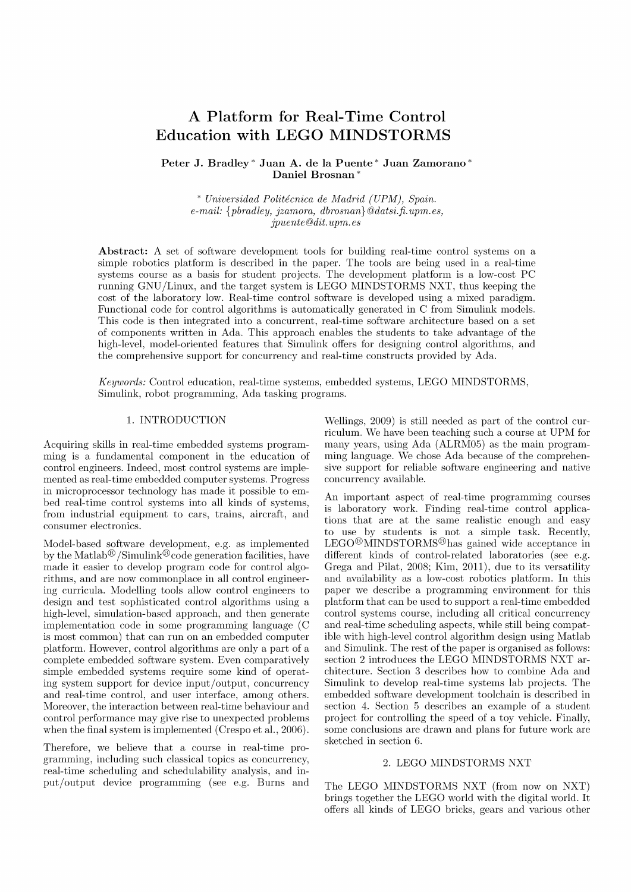# A Platform for Real-Time Control Education with LEGO MINDSTORMS

**Peter J. Bradley\* Juan A. de la Puente\* Juan Zamorano\***  Daniel Brosnan<sup>\*</sup>

\* *Universidad Politecnica de Madrid (UPM), Spain. e-mail: {pbradley, jzamora, dbrosnan}@ [datsi.fi.](http://datsi.fi) [upm.es,](http://upm.es) jpuente @dit. upm. es* 

**Abstract:** A set of software development tools for building real-time control systems on a simple robotics platform is described in the paper. The tools are being used in a real-time systems course as a basis for student projects. The development platform is a low-cost PC running GNU/Linux, and the target system is LEGO MINDSTORMS NXT, thus keeping the cost of the laboratory low. Real-time control software is developed using a mixed paradigm. Functional code for control algorithms is automatically generated in C from Simulink models. This code is then integrated into a concurrent, real-time software architecture based on a set of components written in Ada. This approach enables the students to take advantage of the high-level, model-oriented features that Simulink offers for designing control algorithms, and the comprehensive support for concurrency and real-time constructs provided by Ada.

*Keywords:* Control education, real-time systems, embedded systems, LEGO MINDSTORMS, Simulink, robot programming, Ada tasking programs.

## 1. INTRODUCTION

Acquiring skills in real-time embedded systems programming is a fundamental component in the education of control engineers. Indeed, most control systems are implemented as real-time embedded computer systems. Progress in microprocessor technology has made it possible to embed real-time control systems into all kinds of systems, from industrial equipment to cars, trains, aircraft, and consumer electronics.

Model-based software development, e.g. as implemented by the Matlab<sup>®</sup> /Simulink<sup>®</sup> code generation facilities, have made it easier to develop program code for control algorithms, and are now commonplace in all control engineering curricula. Modelling tools allow control engineers to design and test sophisticated control algorithms using a high-level, simulation-based approach, and then generate implementation code in some programming language (C is most common) that can run on an embedded computer platform. However, control algorithms are only a part of a complete embedded software system. Even comparatively simple embedded systems require some kind of operating system support for device input/output, concurrency and real-time control, and user interface, among others. Moreover, the interaction between real-time behaviour and control performance may give rise to unexpected problems when the final system is implemented (Crespo et al., 2006).

Therefore, we believe that a course in real-time programming, including such classical topics as concurrency, real-time scheduling and schedulability analysis, and input/output device programming (see e.g. Burns and

Wellings, 2009) is still needed as part of the control curriculum. We have been teaching such a course at UPM for many years, using Ada (ALRM05) as the main programming language. We chose Ada because of the comprehensive support for reliable software engineering and native concurrency available.

An important aspect of real-time programming courses is laboratory work. Finding real-time control applications that are at the same realistic enough and easy to use by students is not a simple task. Recently, LEGO®MINDSTORMS®has gained wide acceptance in different kinds of control-related laboratories (see e.g. Grega and Pilat, 2008; Kim, 2011), due to its versatility and availability as a low-cost robotics platform. In this paper we describe a programming environment for this platform that can be used to support a real-time embedded control systems course, including all critical concurrency and real-time scheduling aspects, while still being compatible with high-level control algorithm design using Matlab and Simulink. The rest of the paper is organised as follows: section 2 introduces the LEGO MINDSTORMS NXT architecture. Section 3 describes how to combine Ada and Simulink to develop real-time systems lab projects. The embedded software development toolchain is described in section 4. Section 5 describes an example of a student project for controlling the speed of a toy vehicle. Finally, some conclusions are drawn and plans for future work are sketched in section 6.

#### 2. LEGO MINDSTORMS NXT

The LEGO MINDSTORMS NXT (from now on NXT) brings together the LEGO world with the digital world. It offers all kinds of LEGO bricks, gears and various other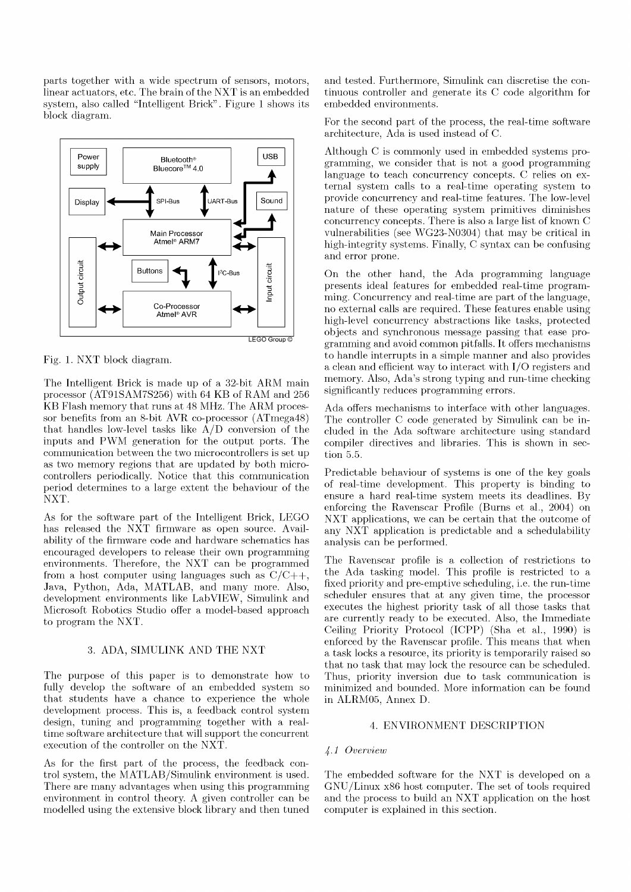parts together with a wide spectrum of sensors, motors, linear actuators, etc. The brain of the NXT is an embedded system, also called "Intelligent Brick". Figure 1 shows its block diagram.



Fig. 1. NXT block diagram.

The Intelligent Brick is made up of a 32-bit ARM main processor (AT91SAM7S256) with 64 KB of RAM and 256 KB Flash memory that runs at 48 MHz. The ARM processor benefits from an 8-bit AVR co-processor (ATmega48) that handles low-level tasks like A/D conversion of the inputs and PWM generation for the output ports. The communication between the two microcontrollers is set up as two memory regions that are updated by both microcontrollers periodically. Notice that this communication period determines to a large extent the behaviour of the NXT.

As for the software part of the Intelligent Brick, LEGO has released the NXT firmware as open source. Availability of the firmware code and hardware schematics has encouraged developers to release their own programming environments. Therefore, the NXT can be programmed from a host computer using languages such as  $C/C++$ , Java, Python, Ada, MATLAB, and many more. Also, development environments like Lab VIEW, Simulink and Microsoft Robotics Studio offer a model-based approach to program the NXT.

# 3. ADA, SIMULINK AND THE NXT

The purpose of this paper is to demonstrate how to fully develop the software of an embedded system so that students have a chance to experience the whole development process. This is, a feedback control system design, tuning and programming together with a realtime software architecture that will support the concurrent execution of the controller on the NXT.

As for the first part of the process, the feedback control system, the MATLAB/Simulink environment is used. There are many advantages when using this programming environment in control theory. A given controller can be modelled using the extensive block library and then tuned

and tested. Furthermore, Simulink can discretise the continuous controller and generate its C code algorithm for embedded environments.

For the second part of the process, the real-time software architecture, Ada is used instead of C.

Although C is commonly used in embedded systems programming, we consider that is not a good programming language to teach concurrency concepts. C relies on external system calls to a real-time operating system to provide concurrency and real-time features. The low-level nature of these operating system primitives diminishes concurrency concepts. There is also a large list of known C vulnerabilities (see WG23-N0304) that may be critical in high-integrity systems. Finally, C syntax can be confusing and error prone.

On the other hand, the Ada programming language presents ideal features for embedded real-time programming. Concurrency and real-time are part of the language, no external calls are required. These features enable using high-level concurrency abstractions like tasks, protected objects and synchronous message passing that ease programming and avoid common pitfalls. It offers mechanisms to handle interrupts in a simple manner and also provides a clean and efficient way to interact with I/O registers and memory. Also, Ada's strong typing and run-time checking significantly reduces programming errors.

Ada offers mechanisms to interface with other languages. The controller C code generated by Simulink can be included in the Ada software architecture using standard compiler directives and libraries. This is shown in section 5.5.

Predictable behaviour of systems is one of the key goals of real-time development. This property is binding to ensure a hard real-time system meets its deadlines. By enforcing the Ravenscar Profile (Burns et al., 2004) on NXT applications, we can be certain that the outcome of any NXT application is predictable and a schedulability analysis can be performed.

The Ravenscar profile is a collection of restrictions to the Ada tasking model. This profile is restricted to a fixed priority and pre-emptive scheduling, i.e. the run-time scheduler ensures that at any given time, the processor executes the highest priority task of all those tasks that are currently ready to be executed. Also, the Immediate Ceiling Priority Protocol (ICPP) (Sha et al., 1990) is enforced by the Ravenscar profile. This means that when a task locks a resource, its priority is temporarily raised so that no task that may lock the resource can be scheduled. Thus, priority inversion due to task communication is minimized and bounded. More information can be found in ALRM05, Annex D.

# 4. ENVIRONMENT DESCRIPTION

#### *4-1 Overview*

The embedded software for the NXT is developed on a GNU/Linux x86 host computer. The set of tools required and the process to build an NXT application on the host computer is explained in this section.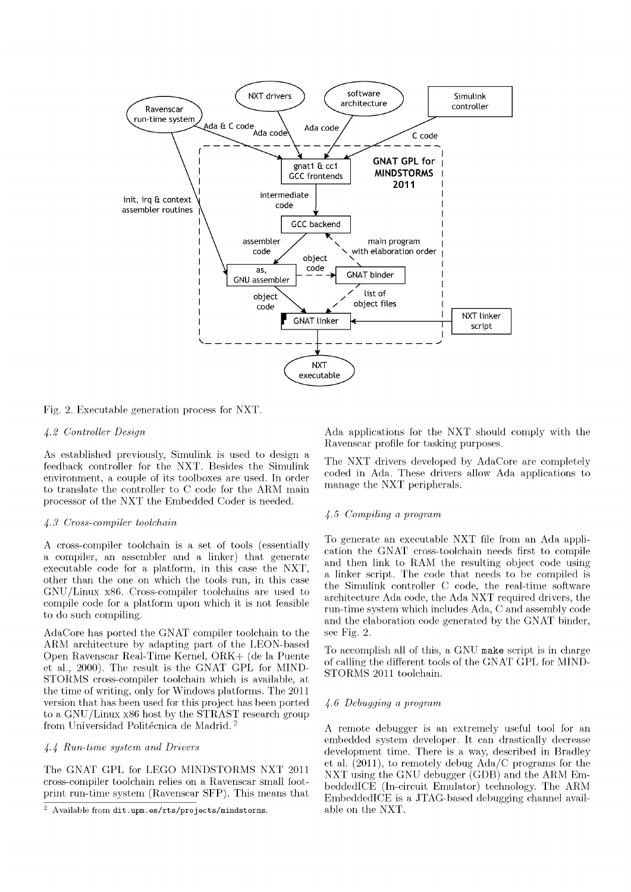

Fig. 2. Executable generation process for NXT.

## *If..2 Controller Design*

As established previously, Simulink is used to design a feedback controller for the NXT. Besides the Simulink environment, a couple of its toolboxes are used. In order to translate the controller to C code for the ARM main processor of the NXT the Embedded Coder is needed.

# *4-3 Cross-compiler toolchain*

A cross-compiler toolchain is a set of tools (essentially a compiler, an assembler and a linker) that generate executable code for a platform, in this case the NXT, other than the one on which the tools run, in this case  $GNU/L$ inux x86. Cross-compiler tool chains are used to compile code for a platform upon which it is not feasible to do such compiling.

AdaCore has ported the GNAT compiler toolchain to the ARM architecture by adapting part of the LEON-based Open Ravenscar Real-Time Kernel, ORK + (de la Puente et al., 2000). The result is the GNAT GPL for MIND-STORMS cross-compiler toolchain which is available, at the time of writing, only for Windows platforms. The 2011 version that has been used for this project has been ported to a GNU/Linux x86 host by the STRAST research group from Universidad Politécnica de Madrid.<sup>2</sup>

## *4-4 Run-time system and Drivers*

The GNAT GPL for LEGO MINDSTORMS NXT 2011 cross-compiler toolchain relies on a Ravenscar small footprint run-time system (Ravenscar SFP). This means that Ada applications for the NXT should comply with the Ravenscar profile for tasking purposes.

The NXT drivers developed by AdaCore are completely coded in Ada. These drivers allow Ada applications to manage the NXT peripherals.

# *4-5 Compiling a program*

To generate an executable NXT file from an Ada application the GNAT cross-toolchain needs first to compile and then link to RAM the resulting object code using a linker script. The code that needs to be compiled is the Simulink controller C code, the real-time software architecture Ada code, the Ada NXT required drivers, the run-time system which includes Ada, C and assembly code and the elaboration code generated by the GNAT binder, see Fig. 2.

To accomplish all of this, a GNU make script is in charge of calling the different tools of the GNAT GPL for MIND-STORMS 2011 toolchain.

## *4-6 Debugging a program*

A remote debugger is an extremely useful tool for an embedded system developer. It can drastically decrease development time. There is a way, described in Bradley et al. (2011), to remotely debug Ada/C programs for the NXT using the GNU debugger (GDB) and the ARM EmbeddedlCE (In-circuit Emulator) technology. The ARM EmbeddedlCE is a JTAG-based debugging channel available on the NXT.

 $2$  Available from [dit.upm.es/rts/projects/mindstorms.](http://dit.upm.es/rts/projects/mindstorms)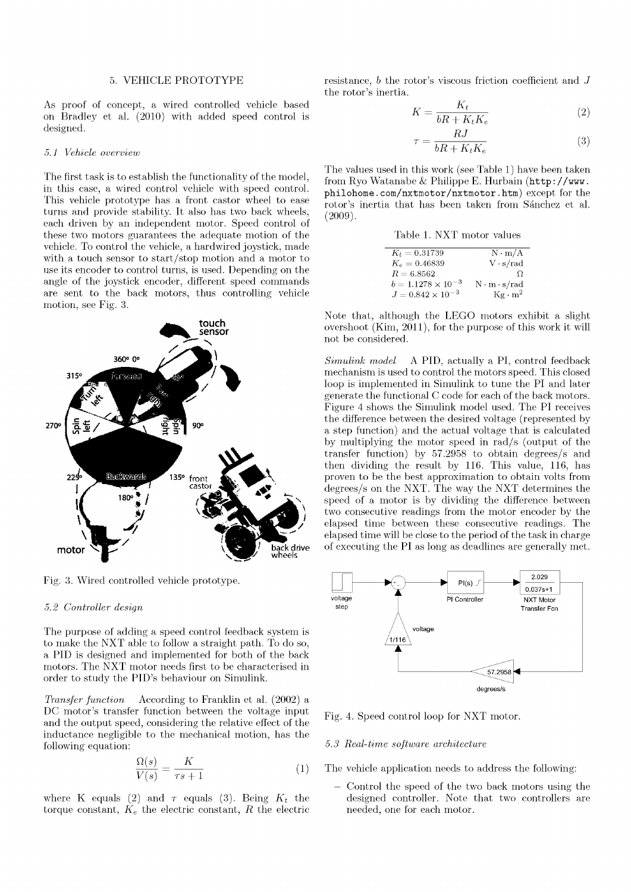#### 5. VEHICLE PROTOTYPE

As proof of concept, a wired controlled vehicle based on Bradley et al. (2010) with added speed control is designed.

#### *5.1 Vehicle overview*

The first task is to establish the functionality of the model, in this case, a wired control vehicle with speed control. This vehicle prototype has a front castor wheel to ease turns and provide stability. It also has two back wheels, each driven by an independent motor. Speed control of these two motors guarantees the adequate motion of the vehicle. To control the vehicle, a hardwired joystick, made with a touch sensor to start/stop motion and a motor to use its encoder to control turns, is used. Depending on the angle of the joystick encoder, different speed commands are sent to the back motors, thus controlling vehicle motion, see Fig. 3.



Fig. 3. Wired controlled vehicle prototype.

#### *5.2 Controller design*

The purpose of adding a speed control feedback system is to make the NXT able to follow a straight path. To do so, a PID is designed and implemented for both of the back motors. The NXT motor needs first to be characterised in order to study the PID's behaviour on Simulink.

*Transfer function* According to Franklin et al. (2002) a DC motor's transfer function between the voltage input and the output speed, considering the relative effect of the inductance negligible to the mechanical motion, has the following equation:

$$
\frac{\Omega(s)}{V(s)} = \frac{K}{\tau s + 1} \tag{1}
$$

where K equals (2) and  $\tau$  equals (3). Being  $K_t$  the torque constant,  $K_e$  the electric constant,  $R$  the electric

resistance, *b* the rotor's viscous friction coefficient and J the rotor's inertia.

$$
K = \frac{K_t}{bR + K_t K_e} \tag{2}
$$

$$
\tau = \frac{RJ}{bR + K_t K_e} \tag{3}
$$

The values used in this work (see Table 1) have been taken from Ryo Watanabe & Philippe E. Hurbain (http: //www. philohome.com/nxtmotor/nxtmotor.htm) except for the rotor's inertia that has been taken from Sánchez et al. (2009).

Table 1. NXT motor values

| $K_t = 0.31739$             | $N \cdot m/A$            |
|-----------------------------|--------------------------|
| $K_e = 0.46839$             | $V \cdot s/rad$          |
| $R = 6.8562$                | Ω.                       |
| $b = 1.1278 \times 10^{-3}$ | $N \cdot m \cdot s/r$ ad |
| $J = 0.842 \times 10^{-3}$  | $Kg \cdot m^2$           |

Note that, although the LEGO motors exhibit a slight overshoot (Kim, 2011), for the purpose of this work it will not be considered.

*Simulink model* A PID, actually a PI, control feedback mechanism is used to control the motors speed. This closed loop is implemented in Simulink to tune the PI and later generate the functional C code for each of the back motors. Figure 4 shows the Simulink model used. The PI receives the difference between the desired voltage (represented by a step function) and the actual voltage that is calculated by multiplying the motor speed in rad/s (output of the transfer function) by 57.2958 to obtain degrees/s and then dividing the result by 116. This value, 116, has proven to be the best approximation to obtain volts from degrees/s on the NXT. The way the NXT determines the speed of a motor is by dividing the difference between two consecutive readings from the motor encoder by the elapsed time between these consecutive readings. The elapsed time will be close to the period of the task in charge of executing the PI as long as deadlines are generally met.



Fig. 4. Speed control loop for NXT motor.

#### *5.3 Real-time software architecture*

The vehicle application needs to address the following:

Control the speed of the two back motors using the designed controller. Note that two controllers are needed, one for each motor.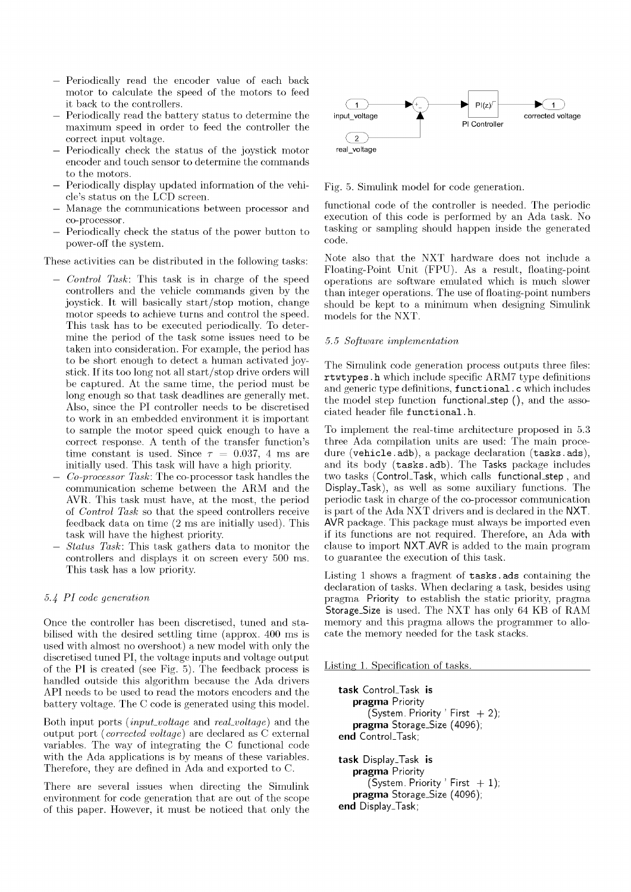- Periodically read the encoder value of each back motor to calculate the speed of the motors to feed it back to the controllers.
- Periodically read the battery status to determine the maximum speed in order to feed the controller the correct input voltage.
- Periodically check the status of the joystick motor encoder and touch sensor to determine the commands to the motors.
- Periodically display updated information of the vehicle's status on the LCD screen.
- Manage the communications between processor and co-processor.
- Periodically check the status of the power button to power-off the system.

These activities can be distributed in the following tasks:

- — *Control Task:* This task is in charge of the speed controllers and the vehicle commands given by the joystick. It will basically start/stop motion, change motor speeds to achieve turns and control the speed. This task has to be executed periodically. To determine the period of the task some issues need to be taken into consideration. For example, the period has to be short enough to detect a human activated joystick. If its too long not all start/stop drive orders will be captured. At the same time, the period must be long enough so that task deadlines are generally met. Also, since the PI controller needs to be discretised to work in an embedded environment it is important to sample the motor speed quick enough to have a correct response. A tenth of the transfer function's time constant is used. Since  $\tau = 0.037, 4$  ms are initially used. This task will have a high priority.
- — *Co-processor Task:* The co-processor task handles the communication scheme between the ARM and the AVR. This task must have, at the most, the period of *Control Task* so that the speed controllers receive feedback data on time (2 ms are initially used). This task will have the highest priority.
- — *Status Task:* This task gathers data to monitor the controllers and displays it on screen every 500 ms. This task has a low priority.

## *5.4 PI code generation*

Once the controller has been discretised, tuned and stabilised with the desired settling time (approx. 400 ms is used with almost no overshoot) a new model with only the discretised tuned PI, the voltage inputs and voltage output of the PI is created (see Fig. 5). The feedback process is handled outside this algorithm because the Ada drivers API needs to be used to read the motors encoders and the battery voltage. The C code is generated using this model.

Both input ports *(input-voltage* and *reaLvoltage)* and the output port *(corrected voltage)* are declared as C external variables. The way of integrating the C functional code with the Ada applications is by means of these variables. Therefore, they are defined in Ada and exported to C.

There are several issues when directing the Simulink environment for code generation that are out of the scope of this paper. However, it must be noticed that only the



Fig. 5. Simulink model for code generation.

functional code of the controller is needed. The periodic execution of this code is performed by an Ada task. No tasking or sampling should happen inside the generated code.

Note also that the NXT hardware does not include a Floating-Point Unit (FPU). As a result, floating-point operations are software emulated which is much slower than integer operations. The use of floating-point numbers should be kept to a minimum when designing Simulink models for the NXT.

## *5.5 Software implementation*

The Simulink code generation process outputs three files: rtwtypes.h which include specific ARM7 type definitions and generic type definitions, functional. c which includes the model step function functional\_step (), and the associated header file functional. h.

To implement the real-time architecture proposed in 5.3 three Ada compilation units are used: The main procedure (vehicle.adb), a package declaration (tasks.ads), and its body (tasks.adb). The Tasks package includes two tasks (Control\_Task, which calls functional\_step, and Display.Task), as well as some auxiliary functions. The periodic task in charge of the co-processor communication is part of the Ada NXT drivers and is declared in the NXT. AVR package. This package must always be imported even if its functions are not required. Therefore, an Ada with clause to import NXT.AVR is added to the main program to guarantee the execution of this task.

Listing 1 shows a fragment of tasks. ads containing the declaration of tasks. When declaring a task, besides using pragma Priority to establish the static priority, pragma Storage\_Size is used. The NXT has only 64 KB of RAM memory and this pragma allows the programmer to allocate the memory needed for the task stacks.

Listing 1. Specification of tasks.

```
task ControLTask is 
   pragma Priority 
      (System. Priority ' First + 2);
   pragma Storage_Size (4096); 
end ControLTask; 
task Display_Task is 
   pragma Priority 
      (System. Priority ' First +1);
   pragma Storage_Size (4096); 
end Display.Task;
```